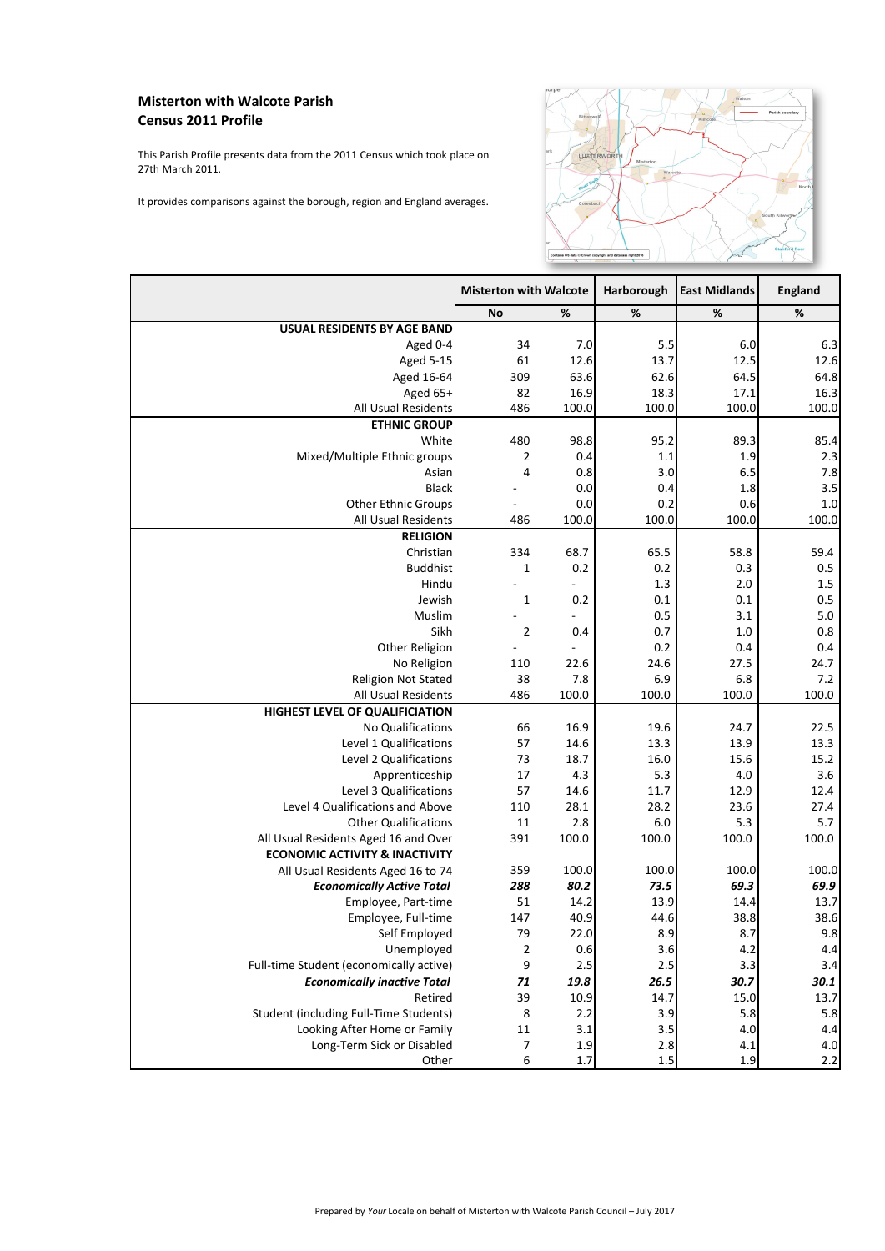|                                               | <b>Misterton with Walcote</b> |             | Harborough    | <b>East Midlands</b> | <b>England</b> |
|-----------------------------------------------|-------------------------------|-------------|---------------|----------------------|----------------|
|                                               | <b>No</b>                     | %           | $\frac{9}{6}$ | %                    | %              |
| <b>USUAL RESIDENTS BY AGE BAND</b>            |                               |             |               |                      |                |
| Aged 0-4                                      | 34                            | 7.0         | 5.5           | 6.0                  | 6.3            |
| <b>Aged 5-15</b>                              | 61                            | 12.6        | 13.7          | 12.5                 | 12.6           |
| Aged 16-64                                    | 309                           | 63.6        | 62.6          | 64.5                 | 64.8           |
| Aged $65+$                                    | 82                            | 16.9        | 18.3          | 17.1                 | 16.3           |
| All Usual Residents                           | 486                           | 100.0       | 100.0         | 100.0                | 100.0          |
| <b>ETHNIC GROUP</b>                           |                               |             |               |                      |                |
| <b>White</b>                                  | 480                           | 98.8        | 95.2          | 89.3                 | 85.4           |
| Mixed/Multiple Ethnic groups                  |                               | 0.4         | 1.1           | 1.9                  | 2.3            |
| Asian                                         | 4                             | 0.8         | 3.0           | 6.5                  | 7.8            |
| <b>Black</b>                                  |                               | 0.0         | 0.4           | 1.8                  | 3.5            |
| <b>Other Ethnic Groups</b>                    |                               | 0.0         | 0.2           | 0.6                  | 1.0            |
| All Usual Residents                           | 486                           | 100.0       | 100.0         | 100.0                | 100.0          |
| <b>RELIGION</b>                               |                               |             |               |                      |                |
| Christian                                     | 334                           | 68.7        | 65.5          | 58.8                 | 59.4           |
| <b>Buddhist</b>                               | 1                             | 0.2         | 0.2           | 0.3                  | 0.5            |
| Hindu                                         |                               |             | 1.3           | 2.0                  | 1.5            |
| Jewish                                        |                               | 0.2         | 0.1           | 0.1                  | 0.5            |
| Muslim                                        |                               |             | 0.5           | 3.1                  | 5.0            |
| Sikh                                          | $\overline{2}$                | 0.4         | 0.7           | 1.0                  | 0.8            |
| Other Religion                                |                               |             | 0.2           | 0.4                  | 0.4            |
| No Religion                                   | 110                           | 22.6        | 24.6          | 27.5                 | 24.7           |
| <b>Religion Not Stated</b>                    | 38                            | 7.8         | 6.9           | 6.8                  | 7.2            |
| <b>All Usual Residents</b>                    | 486                           | 100.0       | 100.0         | 100.0                | 100.0          |
| <b>HIGHEST LEVEL OF QUALIFICIATION</b>        |                               |             |               |                      |                |
| No Qualifications                             | 66                            | 16.9        | 19.6          | 24.7                 | 22.5           |
| Level 1 Qualifications                        | 57                            | 14.6        | 13.3          | 13.9                 | 13.3           |
| Level 2 Qualifications                        | 73                            | 18.7        | 16.0          | 15.6                 | 15.2           |
| Apprenticeship                                | 17                            | 4.3         | 5.3           | 4.0                  | 3.6            |
| Level 3 Qualifications                        | 57                            | 14.6        | 11.7          | 12.9                 | 12.4           |
| Level 4 Qualifications and Above              | 110                           | 28.1        | 28.2          | 23.6                 | 27.4           |
| <b>Other Qualifications</b>                   | 11                            | 2.8         | 6.0           | 5.3                  | 5.7            |
| All Usual Residents Aged 16 and Over          | 391                           | 100.0       | 100.0         | 100.0                | 100.0          |
| <b>ECONOMIC ACTIVITY &amp; INACTIVITY</b>     |                               |             |               |                      |                |
| All Usual Residents Aged 16 to 74             | 359                           | 100.0       | 100.0         | 100.0                | 100.0          |
| <b>Economically Active Total</b>              | 288                           | 80.2        | 73.5          | 69.3                 | 69.9           |
| Employee, Part-time                           | 51                            | 14.2        | 13.9          | 14.4                 | 13.7           |
| Employee, Full-time                           | 147                           | 40.9        | 44.6          | 38.8                 | 38.6           |
| Self Employed                                 | 79                            | 22.0        | 8.9           | 8.7                  | 9.8            |
| Unemployed                                    | $\overline{2}$                | 0.6         | 3.6           | 4.2                  | 4.4            |
| Full-time Student (economically active)       | 9                             | 2.5         | 2.5           | 3.3                  | 3.4            |
| <b>Economically inactive Total</b>            | 71                            | <b>19.8</b> | 26.5          | 30.7                 | 30.1           |
| Retired                                       | 39                            | 10.9        | 14.7          | 15.0                 | 13.7           |
| <b>Student (including Full-Time Students)</b> | 8                             | 2.2         | 3.9           | 5.8                  | 5.8            |
| Looking After Home or Family                  | 11                            | 3.1         | 3.5           | 4.0                  | 4.4            |
| Long-Term Sick or Disabled                    |                               | 1.9         | 2.8           | 4.1                  | 4.0            |
| <b>Other</b>                                  | 6                             | 1.7         | 1.5           | 1.9                  | 2.2            |

## **Misterton with Walcote Parish Census 2011 Profile**

This Parish Profile presents data from the 2011 Census which took place on 27th March 2011.

It provides comparisons against the borough, region and England averages.



## Prepared by *Your* Locale on behalf of Misterton with Walcote Parish Council – July 2017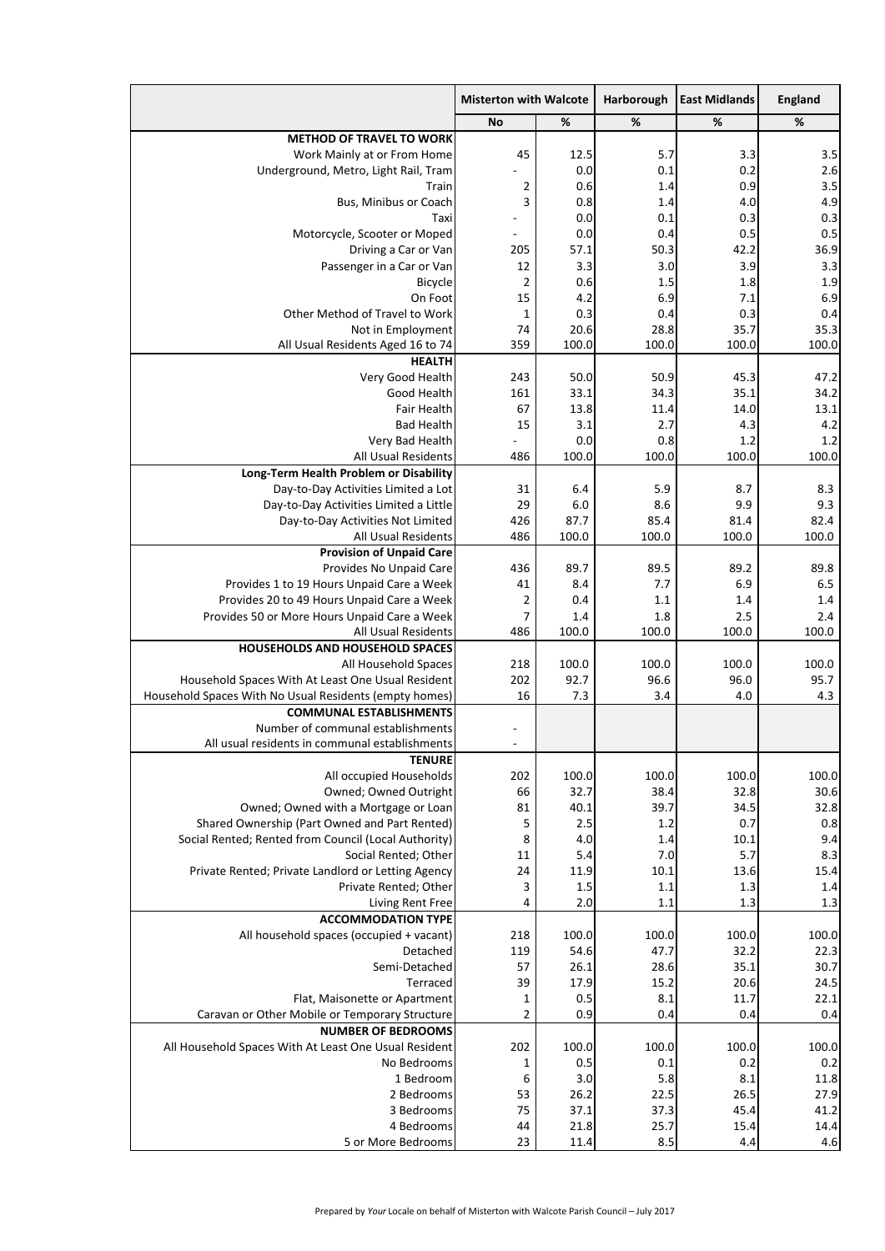|                                                                                       | <b>Misterton with Walcote</b> |            | Harborough | <b>East Midlands</b> | <b>England</b> |
|---------------------------------------------------------------------------------------|-------------------------------|------------|------------|----------------------|----------------|
|                                                                                       | <b>No</b>                     | %          | %          | %                    | %              |
| <b>METHOD OF TRAVEL TO WORK</b>                                                       |                               |            |            |                      |                |
| Work Mainly at or From Home                                                           | 45                            | 12.5       | 5.7        | 3.3                  | 3.5            |
| Underground, Metro, Light Rail, Tram                                                  | $\blacksquare$                | 0.0        | 0.1        | 0.2                  | 2.6            |
| <b>Train</b>                                                                          |                               | 0.6        | 1.4        | 0.9                  | 3.5            |
| <b>Bus, Minibus or Coach</b>                                                          | 3                             | 0.8        | 1.4        | 4.0                  | 4.9            |
| Taxil                                                                                 |                               | 0.0        | 0.1        | 0.3                  | 0.3            |
| Motorcycle, Scooter or Moped                                                          |                               | 0.0        | 0.4        | 0.5                  | 0.5            |
| Driving a Car or Van                                                                  | 205                           | 57.1       | 50.3       | 42.2                 | 36.9           |
| Passenger in a Car or Van                                                             | 12                            | 3.3        | 3.0        | 3.9                  | 3.3            |
| Bicycle                                                                               | 15                            | 0.6        | 1.5        | 1.8                  | 1.9            |
| On Foot<br><b>Other Method of Travel to Work</b>                                      |                               | 4.2<br>0.3 | 6.9<br>0.4 | 7.1<br>0.3           | 6.9<br>0.4     |
| Not in Employment                                                                     | 74                            | 20.6       | 28.8       | 35.7                 | 35.3           |
| All Usual Residents Aged 16 to 74                                                     | 359                           | 100.0      | 100.0      | 100.0                | 100.0          |
| <b>HEALTH</b>                                                                         |                               |            |            |                      |                |
| Very Good Health                                                                      | 243                           | 50.0       | 50.9       | 45.3                 | 47.2           |
| <b>Good Health</b>                                                                    | 161                           | 33.1       | 34.3       | 35.1                 | 34.2           |
| Fair Health                                                                           | 67                            | 13.8       | 11.4       | 14.0                 | 13.1           |
| <b>Bad Health</b>                                                                     | 15                            | 3.1        | 2.7        | 4.3                  | 4.2            |
| Very Bad Health                                                                       |                               | 0.0        | 0.8        | 1.2                  | 1.2            |
| <b>All Usual Residents</b>                                                            | 486                           | 100.0      | 100.0      | 100.0                | 100.0          |
| Long-Term Health Problem or Disability                                                |                               |            |            |                      |                |
| Day-to-Day Activities Limited a Lot                                                   | 31                            | 6.4        | 5.9        | 8.7                  | 8.3            |
| Day-to-Day Activities Limited a Little                                                | 29                            | 6.0        | 8.6        | 9.9                  | 9.3            |
| Day-to-Day Activities Not Limited                                                     | 426                           | 87.7       | 85.4       | 81.4                 | 82.4           |
| <b>All Usual Residents</b>                                                            | 486                           | 100.0      | 100.0      | 100.0                | 100.0          |
| <b>Provision of Unpaid Care</b>                                                       |                               |            |            |                      |                |
| Provides No Unpaid Care                                                               | 436                           | 89.7       | 89.5       | 89.2                 | 89.8           |
| Provides 1 to 19 Hours Unpaid Care a Week                                             | 41                            | 8.4        | 7.7        | 6.9                  | 6.5            |
| Provides 20 to 49 Hours Unpaid Care a Week                                            |                               | 0.4        | 1.1        | 1.4                  | 1.4            |
| Provides 50 or More Hours Unpaid Care a Week                                          |                               | 1.4        | 1.8        | 2.5                  | 2.4            |
| <b>All Usual Residents</b>                                                            | 486                           | 100.0      | 100.0      | 100.0                | 100.0          |
| <b>HOUSEHOLDS AND HOUSEHOLD SPACES</b>                                                |                               |            |            |                      |                |
| All Household Spaces                                                                  | 218                           | 100.0      | 100.0      | 100.0                | 100.0          |
| Household Spaces With At Least One Usual Resident                                     | 202                           | 92.7       | 96.6       | 96.0                 | 95.7           |
| Household Spaces With No Usual Residents (empty homes)                                | 16                            | 7.3        | 3.4        | 4.0                  | 4.3            |
| <b>COMMUNAL ESTABLISHMENTS</b>                                                        |                               |            |            |                      |                |
| Number of communal establishments                                                     | $\overline{\phantom{a}}$      |            |            |                      |                |
| All usual residents in communal establishments                                        | $\overline{\phantom{a}}$      |            |            |                      |                |
| <b>TENURE</b>                                                                         |                               |            |            |                      |                |
| All occupied Households                                                               | 202                           | 100.0      | 100.0      | 100.0                | 100.0          |
| Owned; Owned Outright                                                                 | 66                            | 32.7       | 38.4       | 32.8                 | 30.6           |
| Owned; Owned with a Mortgage or Loan<br>Shared Ownership (Part Owned and Part Rented) | 81                            | 40.1       | 39.7       | 34.5<br>0.7          | 32.8           |
| Social Rented; Rented from Council (Local Authority)                                  | 8                             | 2.5<br>4.0 | 1.2<br>1.4 | 10.1                 | 0.8<br>9.4     |
| Social Rented; Other                                                                  | 11                            | 5.4        | 7.0        | 5.7                  | 8.3            |
| Private Rented; Private Landlord or Letting Agency                                    | 24                            | 11.9       | 10.1       | 13.6                 | 15.4           |
| Private Rented; Other                                                                 | 3                             | 1.5        | 1.1        | 1.3                  | 1.4            |
| Living Rent Free                                                                      | 4                             | 2.0        | 1.1        | 1.3                  | 1.3            |
| <b>ACCOMMODATION TYPE</b>                                                             |                               |            |            |                      |                |
| All household spaces (occupied + vacant)                                              | 218                           | 100.0      | 100.0      | 100.0                | 100.0          |
| Detached                                                                              | 119                           | 54.6       | 47.7       | 32.2                 | 22.3           |
| Semi-Detached                                                                         | 57                            | 26.1       | 28.6       | 35.1                 | 30.7           |
| <b>Terraced</b>                                                                       | 39                            | 17.9       | 15.2       | 20.6                 | 24.5           |
| Flat, Maisonette or Apartment                                                         |                               | 0.5        | 8.1        | 11.7                 | 22.1           |
| Caravan or Other Mobile or Temporary Structure                                        |                               | 0.9        | 0.4        | 0.4                  | 0.4            |
| <b>NUMBER OF BEDROOMS</b>                                                             |                               |            |            |                      |                |
| All Household Spaces With At Least One Usual Resident                                 | 202                           | 100.0      | 100.0      | 100.0                | 100.0          |
| No Bedrooms                                                                           |                               | 0.5        | 0.1        | 0.2                  | 0.2            |
| 1 Bedroom                                                                             | 6                             | 3.0        | 5.8        | 8.1                  | 11.8           |
| 2 Bedrooms                                                                            | 53                            | 26.2       | 22.5       | 26.5                 | 27.9           |
| 3 Bedrooms                                                                            | 75                            | 37.1       | 37.3       | 45.4                 | 41.2           |
| 4 Bedrooms                                                                            | 44                            | 21.8       | 25.7       | 15.4                 | 14.4           |
| 5 or More Bedrooms                                                                    | 23                            | 11.4       | 8.5        | 4.4                  | 4.6            |

## Prepared by *Your* Locale on behalf of Misterton with Walcote Parish Council – July 2017